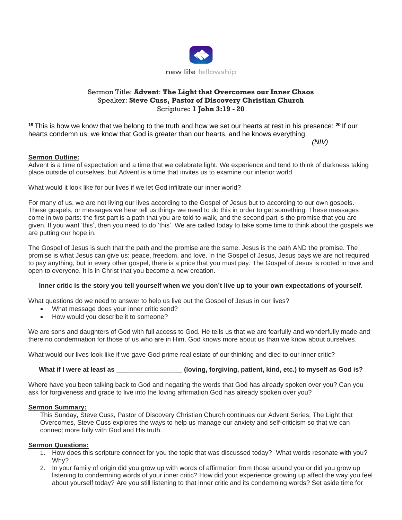

# Sermon Title: **Advent**: **The Light that Overcomes our Inner Chaos** Speaker: **Steve Cuss, Pastor of Discovery Christian Church** Scripture**: 1 John 3:19 - 20**

**<sup>19</sup>** This is how we know that we belong to the truth and how we set our hearts at rest in his presence: **<sup>20</sup>** If our hearts condemn us, we know that God is greater than our hearts, and he knows everything.

*(NIV)*

## **Sermon Outline:**

Advent is a time of expectation and a time that we celebrate light. We experience and tend to think of darkness taking place outside of ourselves, but Advent is a time that invites us to examine our interior world.

What would it look like for our lives if we let God infiltrate our inner world?

For many of us, we are not living our lives according to the Gospel of Jesus but to according to our own gospels. These gospels, or messages we hear tell us things we need to do this in order to get something. These messages come in two parts: the first part is a path that you are told to walk, and the second part is the promise that you are given. If you want 'this', then you need to do 'this'. We are called today to take some time to think about the gospels we are putting our hope in.

The Gospel of Jesus is such that the path and the promise are the same. Jesus is the path AND the promise. The promise is what Jesus can give us: peace, freedom, and love. In the Gospel of Jesus, Jesus pays we are not required to pay anything, but in every other gospel, there is a price that you must pay. The Gospel of Jesus is rooted in love and open to everyone. It is in Christ that you become a new creation.

### **Inner critic is the story you tell yourself when we you don't live up to your own expectations of yourself.**

What questions do we need to answer to help us live out the Gospel of Jesus in our lives?

- What message does your inner critic send?
- How would you describe it to someone?

We are sons and daughters of God with full access to God. He tells us that we are fearfully and wonderfully made and there no condemnation for those of us who are in Him. God knows more about us than we know about ourselves.

What would our lives look like if we gave God prime real estate of our thinking and died to our inner critic?

**What if I were at least as \_\_\_\_\_\_\_\_\_\_\_\_\_\_\_\_\_\_ (loving, forgiving, patient, kind, etc.) to myself as God is?**

Where have you been talking back to God and negating the words that God has already spoken over you? Can you ask for forgiveness and grace to live into the loving affirmation God has already spoken over you?

### **Sermon Summary:**

This Sunday, Steve Cuss, Pastor of Discovery Christian Church continues our Advent Series: The Light that Overcomes, Steve Cuss explores the ways to help us manage our anxiety and self-criticism so that we can connect more fully with God and His truth.

### **Sermon Questions:**

- 1. How does this scripture connect for you the topic that was discussed today? What words resonate with you? Why?
- 2. In your family of origin did you grow up with words of affirmation from those around you or did you grow up listening to condemning words of your inner critic? How did your experience growing up affect the way you feel about yourself today? Are you still listening to that inner critic and its condemning words? Set aside time for